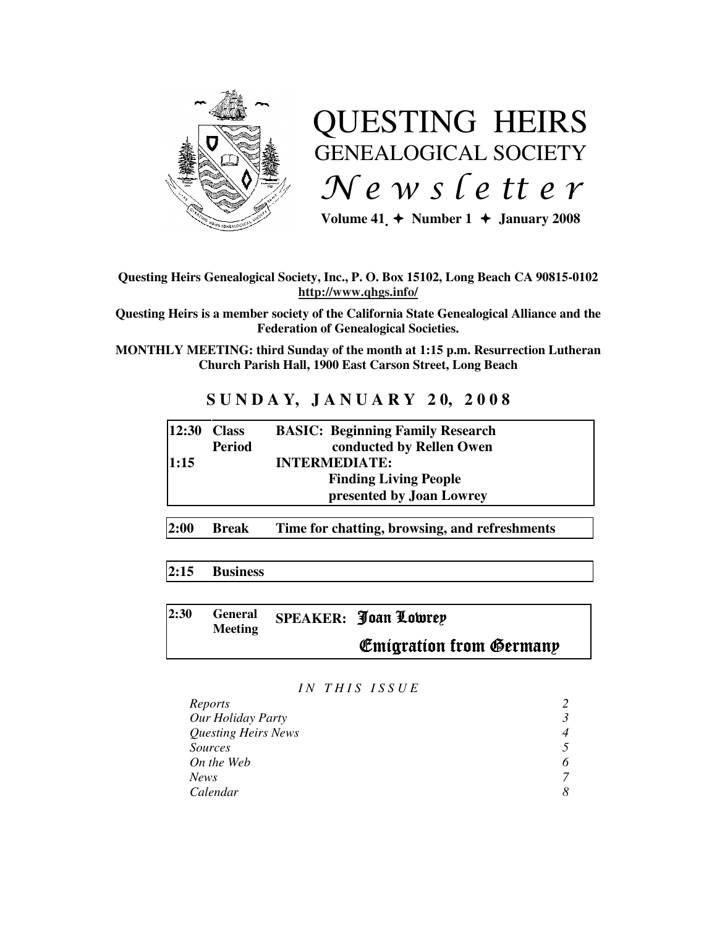

# QUESTING HEIRS GENEALOGICAL SOCIETY  $Ne$  w s letter

Volume  $41 \div \text{Number 1} \div \text{January } 2008$ 

#### **Questing Heirs Genealogical Society, Inc., P. O. Box 15102, Long Beach CA 90815-0102 http://www.qhgs.info/**

**Questing Heirs is a member society of the California State Genealogical Alliance and the Federation of Genealogical Societies.** 

**MONTHLY MEETING: third Sunday of the month at 1:15 p.m. Resurrection Lutheran Church Parish Hall, 1900 East Carson Street, Long Beach** 

## **S U N D A Y, J A N U A R Y 2 0, 2 0 0 8**

| $ 12:30$ Class |               | <b>BASIC: Beginning Family Research</b> |
|----------------|---------------|-----------------------------------------|
|                | <b>Period</b> | conducted by Rellen Owen                |
| 1:15           |               | <b>INTERMEDIATE:</b>                    |
|                |               | <b>Finding Living People</b>            |
|                |               | presented by Joan Lowrey                |
|                |               |                                         |

**2:00 Break Time for chatting, browsing, and refreshments** 

## **2:15 Business**

| 2:30 | <b>General</b><br><b>Meeting</b> | SPEAKER: Joan Lowrey           |
|------|----------------------------------|--------------------------------|
|      |                                  | <b>Emigration from Germany</b> |

#### *I N T H I S I S S U E*

| Reports                    |  |
|----------------------------|--|
| Our Holiday Party          |  |
| <b>Questing Heirs News</b> |  |
| <i>Sources</i>             |  |
| On the Web                 |  |
| <b>News</b>                |  |
| Calendar                   |  |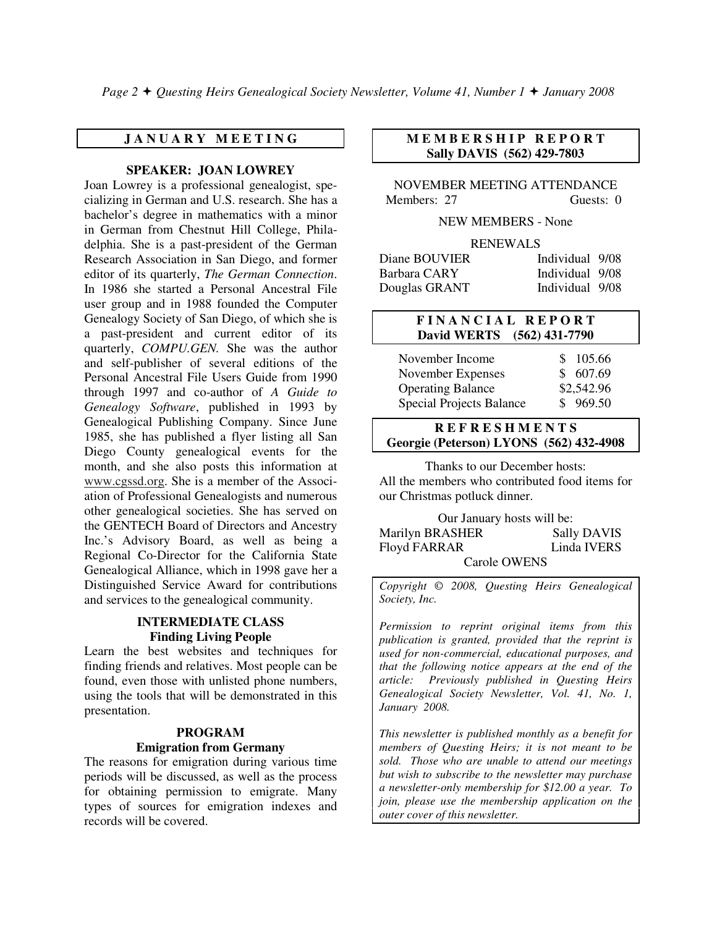#### **J A N U A R Y M E E T I N G**

#### **SPEAKER: JOAN LOWREY**

Joan Lowrey is a professional genealogist, specializing in German and U.S. research. She has a bachelor's degree in mathematics with a minor in German from Chestnut Hill College, Philadelphia. She is a past-president of the German Research Association in San Diego, and former editor of its quarterly, *The German Connection*. In 1986 she started a Personal Ancestral File user group and in 1988 founded the Computer Genealogy Society of San Diego, of which she is a past-president and current editor of its quarterly, *COMPU.GEN.* She was the author and self-publisher of several editions of the Personal Ancestral File Users Guide from 1990 through 1997 and co-author of *A Guide to Genealogy Software*, published in 1993 by Genealogical Publishing Company. Since June 1985, she has published a flyer listing all San Diego County genealogical events for the month, and she also posts this information at www.cgssd.org. She is a member of the Association of Professional Genealogists and numerous other genealogical societies. She has served on the GENTECH Board of Directors and Ancestry Inc.'s Advisory Board, as well as being a Regional Co-Director for the California State Genealogical Alliance, which in 1998 gave her a Distinguished Service Award for contributions and services to the genealogical community.

#### **INTERMEDIATE CLASS Finding Living People**

Learn the best websites and techniques for finding friends and relatives. Most people can be found, even those with unlisted phone numbers, using the tools that will be demonstrated in this presentation.

#### **PROGRAM Emigration from Germany**

The reasons for emigration during various time periods will be discussed, as well as the process for obtaining permission to emigrate. Many types of sources for emigration indexes and records will be covered.

#### **M E M B E R S H I P R E P O R T Sally DAVIS (562) 429-7803**

NOVEMBER MEETING ATTENDANCE Members: 27 Guests: 0

NEW MEMBERS - None

#### RENEWALS

| Diane BOUVIER | Individual 9/08 |  |
|---------------|-----------------|--|
| Barbara CARY  | Individual 9/08 |  |
| Douglas GRANT | Individual 9/08 |  |

#### **F I N A N C I A L R E P O R T David WERTS (562) 431-7790**

| November Income                 | \$105.66   |
|---------------------------------|------------|
| November Expenses               | \$607.69   |
| <b>Operating Balance</b>        | \$2,542.96 |
| <b>Special Projects Balance</b> | \$969.50   |

#### **R E F R E S H M E N T S Georgie (Peterson) LYONS (562) 432-4908**

Thanks to our December hosts: All the members who contributed food items for our Christmas potluck dinner.

Our January hosts will be: Marilyn BRASHER Sally DAVIS Floyd FARRAR Linda IVERS Carole OWENS

*Copyright* © *2008, Questing Heirs Genealogical Society, Inc.* 

*Permission to reprint original items from this publication is granted, provided that the reprint is used for non-commercial, educational purposes, and that the following notice appears at the end of the article: Previously published in Questing Heirs Genealogical Society Newsletter, Vol. 41, No. 1, January 2008.* 

*This newsletter is published monthly as a benefit for members of Questing Heirs; it is not meant to be sold. Those who are unable to attend our meetings but wish to subscribe to the newsletter may purchase a newsletter-only membership for \$12.00 a year. To join, please use the membership application on the outer cover of this newsletter.*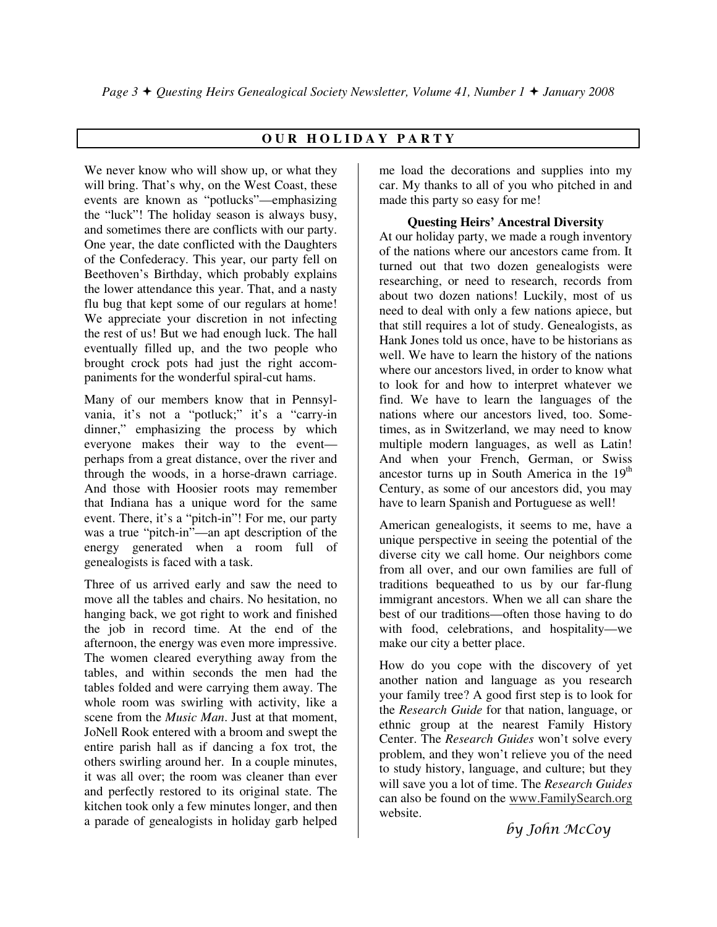## **O U R H O L I D A Y P A R T Y**

We never know who will show up, or what they will bring. That's why, on the West Coast, these events are known as "potlucks"—emphasizing the "luck"! The holiday season is always busy, and sometimes there are conflicts with our party. One year, the date conflicted with the Daughters of the Confederacy. This year, our party fell on Beethoven's Birthday, which probably explains the lower attendance this year. That, and a nasty flu bug that kept some of our regulars at home! We appreciate your discretion in not infecting the rest of us! But we had enough luck. The hall eventually filled up, and the two people who brought crock pots had just the right accompaniments for the wonderful spiral-cut hams.

Many of our members know that in Pennsylvania, it's not a "potluck;" it's a "carry-in dinner," emphasizing the process by which everyone makes their way to the event perhaps from a great distance, over the river and through the woods, in a horse-drawn carriage. And those with Hoosier roots may remember that Indiana has a unique word for the same event. There, it's a "pitch-in"! For me, our party was a true "pitch-in"—an apt description of the energy generated when a room full of genealogists is faced with a task.

Three of us arrived early and saw the need to move all the tables and chairs. No hesitation, no hanging back, we got right to work and finished the job in record time. At the end of the afternoon, the energy was even more impressive. The women cleared everything away from the tables, and within seconds the men had the tables folded and were carrying them away. The whole room was swirling with activity, like a scene from the *Music Man*. Just at that moment, JoNell Rook entered with a broom and swept the entire parish hall as if dancing a fox trot, the others swirling around her. In a couple minutes, it was all over; the room was cleaner than ever and perfectly restored to its original state. The kitchen took only a few minutes longer, and then a parade of genealogists in holiday garb helped

me load the decorations and supplies into my car. My thanks to all of you who pitched in and made this party so easy for me!

#### **Questing Heirs' Ancestral Diversity**

At our holiday party, we made a rough inventory of the nations where our ancestors came from. It turned out that two dozen genealogists were researching, or need to research, records from about two dozen nations! Luckily, most of us need to deal with only a few nations apiece, but that still requires a lot of study. Genealogists, as Hank Jones told us once, have to be historians as well. We have to learn the history of the nations where our ancestors lived, in order to know what to look for and how to interpret whatever we find. We have to learn the languages of the nations where our ancestors lived, too. Sometimes, as in Switzerland, we may need to know multiple modern languages, as well as Latin! And when your French, German, or Swiss ancestor turns up in South America in the  $19<sup>th</sup>$ Century, as some of our ancestors did, you may have to learn Spanish and Portuguese as well!

American genealogists, it seems to me, have a unique perspective in seeing the potential of the diverse city we call home. Our neighbors come from all over, and our own families are full of traditions bequeathed to us by our far-flung immigrant ancestors. When we all can share the best of our traditions—often those having to do with food, celebrations, and hospitality—we make our city a better place.

How do you cope with the discovery of yet another nation and language as you research your family tree? A good first step is to look for the *Research Guide* for that nation, language, or ethnic group at the nearest Family History Center. The *Research Guides* won't solve every problem, and they won't relieve you of the need to study history, language, and culture; but they will save you a lot of time. The *Research Guides* can also be found on the www.FamilySearch.org website.

by John McCoy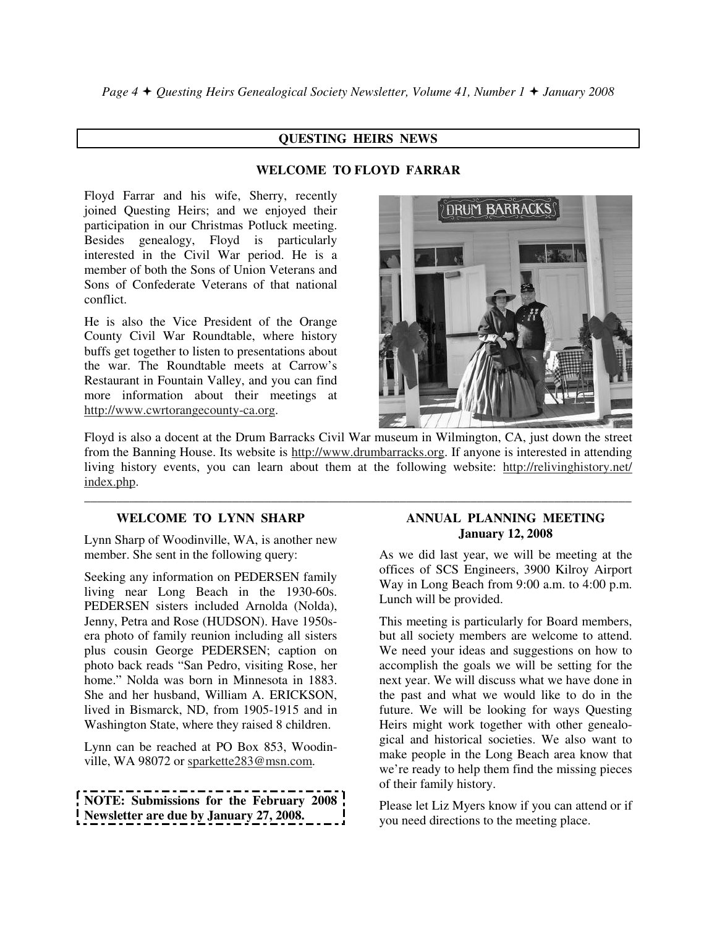### **QUESTING HEIRS NEWS**

## **WELCOME TO FLOYD FARRAR**

Floyd Farrar and his wife, Sherry, recently joined Questing Heirs; and we enjoyed their participation in our Christmas Potluck meeting. Besides genealogy, Floyd is particularly interested in the Civil War period. He is a member of both the Sons of Union Veterans and Sons of Confederate Veterans of that national conflict.

He is also the Vice President of the Orange County Civil War Roundtable, where history buffs get together to listen to presentations about the war. The Roundtable meets at Carrow's Restaurant in Fountain Valley, and you can find more information about their meetings at http://www.cwrtorangecounty-ca.org.



Floyd is also a docent at the Drum Barracks Civil War museum in Wilmington, CA, just down the street from the Banning House. Its website is http://www.drumbarracks.org. If anyone is interested in attending living history events, you can learn about them at the following website: http://relivinghistory.net/ index.php.

**\_\_\_\_\_\_\_\_\_\_\_\_\_\_\_\_\_\_\_\_\_\_\_\_\_\_\_\_\_\_\_\_\_\_\_\_\_\_\_\_\_\_\_\_\_\_\_\_\_\_\_\_\_\_\_\_\_\_\_\_\_\_\_\_\_\_\_\_\_\_\_\_\_\_\_\_\_\_\_\_\_\_\_\_\_** 

## **WELCOME TO LYNN SHARP**

Lynn Sharp of Woodinville, WA, is another new member. She sent in the following query:

Seeking any information on PEDERSEN family living near Long Beach in the 1930-60s. PEDERSEN sisters included Arnolda (Nolda), Jenny, Petra and Rose (HUDSON). Have 1950sera photo of family reunion including all sisters plus cousin George PEDERSEN; caption on photo back reads "San Pedro, visiting Rose, her home." Nolda was born in Minnesota in 1883. She and her husband, William A. ERICKSON, lived in Bismarck, ND, from 1905-1915 and in Washington State, where they raised 8 children.

Lynn can be reached at PO Box 853, Woodinville, WA 98072 or sparkette283@msn.com.

**NOTE: Submissions for the February 2008 Newsletter are due by January 27, 2008.** 

#### **ANNUAL PLANNING MEETING January 12, 2008**

As we did last year, we will be meeting at the offices of SCS Engineers, 3900 Kilroy Airport Way in Long Beach from 9:00 a.m. to 4:00 p.m. Lunch will be provided.

This meeting is particularly for Board members, but all society members are welcome to attend. We need your ideas and suggestions on how to accomplish the goals we will be setting for the next year. We will discuss what we have done in the past and what we would like to do in the future. We will be looking for ways Questing Heirs might work together with other genealogical and historical societies. We also want to make people in the Long Beach area know that we're ready to help them find the missing pieces of their family history.

Please let Liz Myers know if you can attend or if you need directions to the meeting place.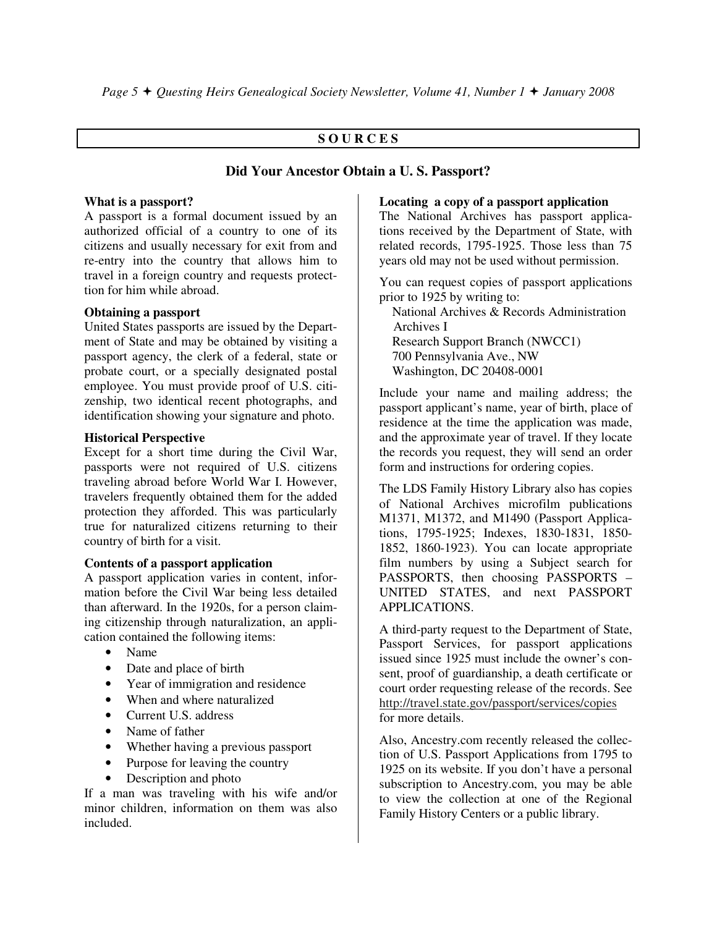#### **S O U R C E S**

#### **Did Your Ancestor Obtain a U. S. Passport?**

#### **What is a passport?**

A passport is a formal document issued by an authorized official of a country to one of its citizens and usually necessary for exit from and re-entry into the country that allows him to travel in a foreign country and requests protecttion for him while abroad.

#### **Obtaining a passport**

United States passports are issued by the Department of State and may be obtained by visiting a passport agency, the clerk of a federal, state or probate court, or a specially designated postal employee. You must provide proof of U.S. citizenship, two identical recent photographs, and identification showing your signature and photo.

#### **Historical Perspective**

Except for a short time during the Civil War, passports were not required of U.S. citizens traveling abroad before World War I. However, travelers frequently obtained them for the added protection they afforded. This was particularly true for naturalized citizens returning to their country of birth for a visit.

#### **Contents of a passport application**

A passport application varies in content, information before the Civil War being less detailed than afterward. In the 1920s, for a person claiming citizenship through naturalization, an application contained the following items:

- Name
- Date and place of birth
- Year of immigration and residence
- When and where naturalized
- Current U.S. address
- Name of father
- Whether having a previous passport
- Purpose for leaving the country
- Description and photo

If a man was traveling with his wife and/or minor children, information on them was also included.

#### **Locating a copy of a passport application**

The National Archives has passport applications received by the Department of State, with related records, 1795-1925. Those less than 75 years old may not be used without permission.

You can request copies of passport applications prior to 1925 by writing to:

 National Archives & Records Administration Archives I Research Support Branch (NWCC1) 700 Pennsylvania Ave., NW Washington, DC 20408-0001

Include your name and mailing address; the passport applicant's name, year of birth, place of residence at the time the application was made, and the approximate year of travel. If they locate the records you request, they will send an order form and instructions for ordering copies.

The LDS Family History Library also has copies of National Archives microfilm publications M1371, M1372, and M1490 (Passport Applications, 1795-1925; Indexes, 1830-1831, 1850- 1852, 1860-1923). You can locate appropriate film numbers by using a Subject search for PASSPORTS, then choosing PASSPORTS – UNITED STATES, and next PASSPORT APPLICATIONS.

A third-party request to the Department of State, Passport Services, for passport applications issued since 1925 must include the owner's consent, proof of guardianship, a death certificate or court order requesting release of the records. See http://travel.state.gov/passport/services/copies for more details.

Also, Ancestry.com recently released the collection of U.S. Passport Applications from 1795 to 1925 on its website. If you don't have a personal subscription to Ancestry.com, you may be able to view the collection at one of the Regional Family History Centers or a public library.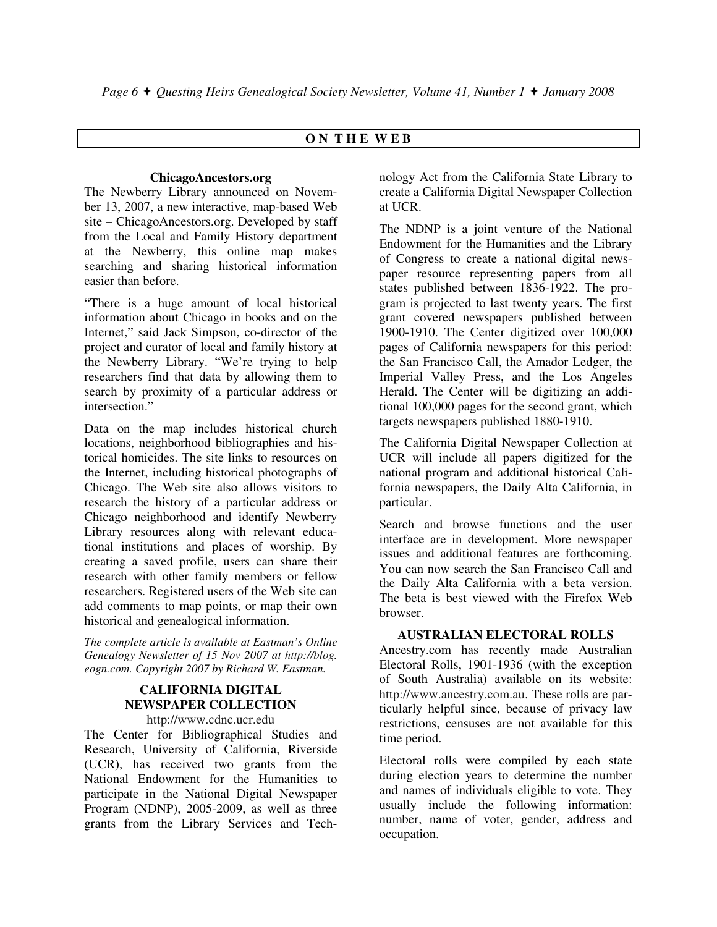#### **O N T H E W E B**

#### **ChicagoAncestors.org**

The Newberry Library announced on November 13, 2007, a new interactive, map-based Web site – ChicagoAncestors.org. Developed by staff from the Local and Family History department at the Newberry, this online map makes searching and sharing historical information easier than before.

"There is a huge amount of local historical information about Chicago in books and on the Internet," said Jack Simpson, co-director of the project and curator of local and family history at the Newberry Library. "We're trying to help researchers find that data by allowing them to search by proximity of a particular address or intersection."

Data on the map includes historical church locations, neighborhood bibliographies and historical homicides. The site links to resources on the Internet, including historical photographs of Chicago. The Web site also allows visitors to research the history of a particular address or Chicago neighborhood and identify Newberry Library resources along with relevant educational institutions and places of worship. By creating a saved profile, users can share their research with other family members or fellow researchers. Registered users of the Web site can add comments to map points, or map their own historical and genealogical information.

*The complete article is available at Eastman's Online Genealogy Newsletter of 15 Nov 2007 at http://blog. eogn.com. Copyright 2007 by Richard W. Eastman.*

## **CALIFORNIA DIGITAL NEWSPAPER COLLECTION**

http://www.cdnc.ucr.edu The Center for Bibliographical Studies and

Research, University of California, Riverside (UCR), has received two grants from the National Endowment for the Humanities to participate in the National Digital Newspaper Program (NDNP), 2005-2009, as well as three grants from the Library Services and Technology Act from the California State Library to create a California Digital Newspaper Collection at UCR.

The NDNP is a joint venture of the National Endowment for the Humanities and the Library of Congress to create a national digital newspaper resource representing papers from all states published between 1836-1922. The program is projected to last twenty years. The first grant covered newspapers published between 1900-1910. The Center digitized over 100,000 pages of California newspapers for this period: the San Francisco Call, the Amador Ledger, the Imperial Valley Press, and the Los Angeles Herald. The Center will be digitizing an additional 100,000 pages for the second grant, which targets newspapers published 1880-1910.

The California Digital Newspaper Collection at UCR will include all papers digitized for the national program and additional historical California newspapers, the Daily Alta California, in particular.

Search and browse functions and the user interface are in development. More newspaper issues and additional features are forthcoming. You can now search the San Francisco Call and the Daily Alta California with a beta version. The beta is best viewed with the Firefox Web browser.

#### **AUSTRALIAN ELECTORAL ROLLS**

Ancestry.com has recently made Australian Electoral Rolls, 1901-1936 (with the exception of South Australia) available on its website: http://www.ancestry.com.au. These rolls are particularly helpful since, because of privacy law restrictions, censuses are not available for this time period.

Electoral rolls were compiled by each state during election years to determine the number and names of individuals eligible to vote. They usually include the following information: number, name of voter, gender, address and occupation.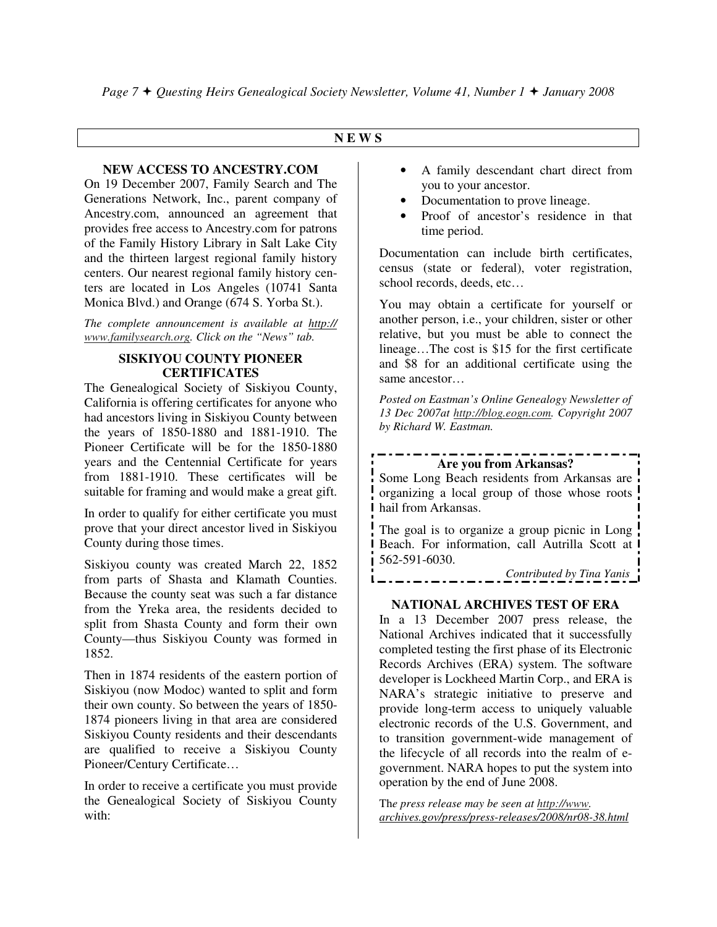#### **N E W S**

#### **NEW ACCESS TO ANCESTRY.COM**

On 19 December 2007, Family Search and The Generations Network, Inc., parent company of Ancestry.com, announced an agreement that provides free access to Ancestry.com for patrons of the Family History Library in Salt Lake City and the thirteen largest regional family history centers. Our nearest regional family history centers are located in Los Angeles (10741 Santa Monica Blvd.) and Orange (674 S. Yorba St.).

*The complete announcement is available at http:// www.familysearch.org. Click on the "News" tab.* 

#### **SISKIYOU COUNTY PIONEER CERTIFICATES**

The Genealogical Society of Siskiyou County, California is offering certificates for anyone who had ancestors living in Siskiyou County between the years of 1850-1880 and 1881-1910. The Pioneer Certificate will be for the 1850-1880 years and the Centennial Certificate for years from 1881-1910. These certificates will be suitable for framing and would make a great gift.

In order to qualify for either certificate you must prove that your direct ancestor lived in Siskiyou County during those times.

Siskiyou county was created March 22, 1852 from parts of Shasta and Klamath Counties. Because the county seat was such a far distance from the Yreka area, the residents decided to split from Shasta County and form their own County—thus Siskiyou County was formed in 1852.

Then in 1874 residents of the eastern portion of Siskiyou (now Modoc) wanted to split and form their own county. So between the years of 1850- 1874 pioneers living in that area are considered Siskiyou County residents and their descendants are qualified to receive a Siskiyou County Pioneer/Century Certificate…

In order to receive a certificate you must provide the Genealogical Society of Siskiyou County with:

- A family descendant chart direct from you to your ancestor.
- Documentation to prove lineage.
- Proof of ancestor's residence in that time period.

Documentation can include birth certificates, census (state or federal), voter registration, school records, deeds, etc…

You may obtain a certificate for yourself or another person, i.e., your children, sister or other relative, but you must be able to connect the lineage…The cost is \$15 for the first certificate and \$8 for an additional certificate using the same ancestor…

*Posted on Eastman's Online Genealogy Newsletter of 13 Dec 2007at http://blog.eogn.com. Copyright 2007 by Richard W. Eastman.* 

# **Are you from Arkansas?**

Some Long Beach residents from Arkansas are organizing a local group of those whose roots hail from Arkansas.

The goal is to organize a group picnic in Long Beach. For information, call Autrilla Scott at 562-591-6030.

*Contributed by Tina Yanis* 

#### **NATIONAL ARCHIVES TEST OF ERA**

In a 13 December 2007 press release, the National Archives indicated that it successfully completed testing the first phase of its Electronic Records Archives (ERA) system. The software developer is Lockheed Martin Corp., and ERA is NARA's strategic initiative to preserve and provide long-term access to uniquely valuable electronic records of the U.S. Government, and to transition government-wide management of the lifecycle of all records into the realm of egovernment. NARA hopes to put the system into operation by the end of June 2008.

Th*e press release may be seen at http://www. archives.gov/press/press-releases/2008/nr08-38.html*